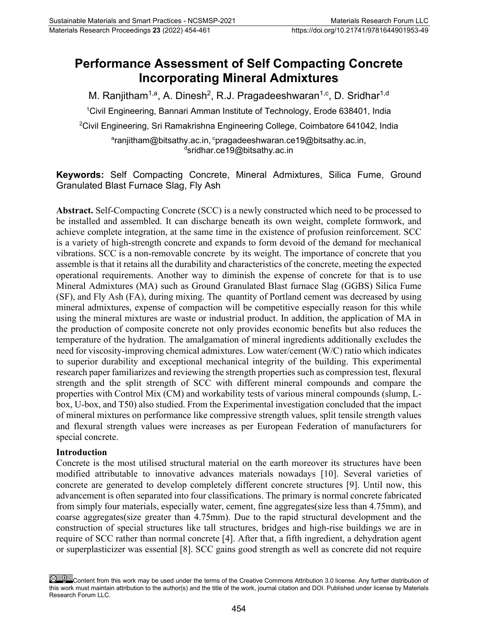# **Performance Assessment of Self Compacting Concrete Incorporating Mineral Admixtures**

M. Ranjitham<sup>1,a</sup>, A. Dinesh<sup>2</sup>, R.J. Pragadeeshwaran<sup>1,c</sup>, D. Sridhar<sup>1,d</sup>

1 Civil Engineering, Bannari Amman Institute of Technology, Erode 638401, India

 $^{\rm 2}$ Civil Engineering, Sri Ramakrishna Engineering College, Coimbatore 641042, India

<sup>a</sup>[ranjitham@bitsathy.ac.in,](mailto:ranjitham@bitsathy.ac.in) <sup>c</sup>[pragadeeshwaran.ce19@bitsathy.ac.in,](mailto:%20pragadeeshwaran.ce19@bitsathy.ac.in) d [sridhar.ce19@bitsathy.ac.in](mailto:sridhar.ce19@bitsathy.ac.in)

**Keywords:** Self Compacting Concrete, Mineral Admixtures, Silica Fume, Ground Granulated Blast Furnace Slag, Fly Ash

**Abstract.** Self-Compacting Concrete (SCC) is a newly constructed which need to be processed to be installed and assembled. It can discharge beneath its own weight, complete formwork, and achieve complete integration, at the same time in the existence of profusion reinforcement. SCC is a variety of high-strength concrete and expands to form devoid of the demand for mechanical vibrations. SCC is a non-removable concrete by its weight. The importance of concrete that you assemble is that it retains all the durability and characteristics of the concrete, meeting the expected operational requirements. Another way to diminish the expense of concrete for that is to use Mineral Admixtures (MA) such as Ground Granulated Blast furnace Slag (GGBS) Silica Fume (SF), and Fly Ash (FA), during mixing. The quantity of Portland cement was decreased by using mineral admixtures, expense of compaction will be competitive especially reason for this while using the mineral mixtures are waste or industrial product. In addition, the application of MA in the production of composite concrete not only provides economic benefits but also reduces the temperature of the hydration. The amalgamation of mineral ingredients additionally excludes the need for viscosity-improving chemical admixtures. Low water/cement (W/C) ratio which indicates to superior durability and exceptional mechanical integrity of the building. This experimental research paper familiarizes and reviewing the strength properties such as compression test, flexural strength and the split strength of SCC with different mineral compounds and compare the properties with Control Mix (CM) and workability tests of various mineral compounds (slump, Lbox, U-box, and T50) also studied. From the Experimental investigation concluded that the impact of mineral mixtures on performance like compressive strength values, split tensile strength values and flexural strength values were increases as per European Federation of manufacturers for special concrete.

#### **Introduction**

Concrete is the most utilised structural material on the earth moreover its structures have been modified attributable to innovative advances materials nowadays [10]. Several varieties of concrete are generated to develop completely different concrete structures [9]. Until now, this advancement is often separated into four classifications. The primary is normal concrete fabricated from simply four materials, especially water, cement, fine aggregates(size less than 4.75mm), and coarse aggregates(size greater than 4.75mm). Due to the rapid structural development and the construction of special structures like tall structures, bridges and high-rise buildings we are in require of SCC rather than normal concrete [4]. After that, a fifth ingredient, a dehydration agent or superplasticizer was essential [8]. SCC gains good strength as well as concrete did not require

Content from this work may be used under the terms of the Creative Commons Attribution 3.0 license. Any further distribution of this work must maintain attribution to the author(s) and the title of the work, journal citation and DOI. Published under license by Materials Research Forum LLC.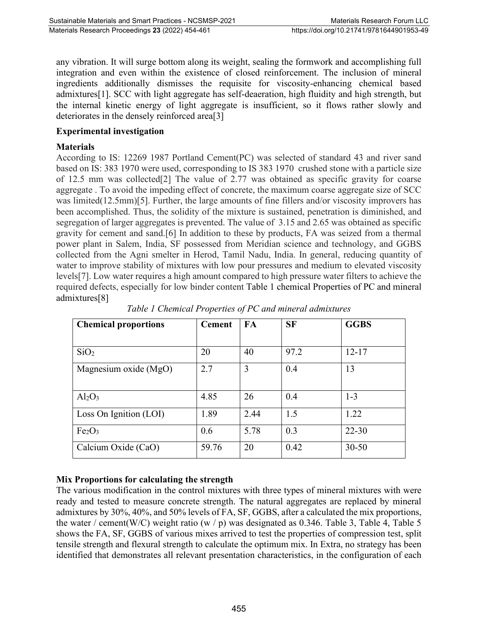any vibration. It will surge bottom along its weight, sealing the formwork and accomplishing full integration and even within the existence of closed reinforcement. The inclusion of mineral ingredients additionally dismisses the requisite for viscosity-enhancing chemical based admixtures[1]. SCC with light aggregate has self-deaeration, high fluidity and high strength, but the internal kinetic energy of light aggregate is insufficient, so it flows rather slowly and deteriorates in the densely reinforced area[3]

#### **Experimental investigation**

#### **Materials**

According to IS: 12269 1987 Portland Cement(PC) was selected of standard 43 and river sand based on IS: 383 1970 were used, corresponding to IS 383 1970 crushed stone with a particle size of 12.5 mm was collected[2] The value of 2.77 was obtained as specific gravity for coarse aggregate . To avoid the impeding effect of concrete, the maximum coarse aggregate size of SCC was limited(12.5mm)[5]. Further, the large amounts of fine fillers and/or viscosity improvers has been accomplished. Thus, the solidity of the mixture is sustained, penetration is diminished, and segregation of larger aggregates is prevented. The value of 3.15 and 2.65 was obtained as specific gravity for cement and sand.[6] In addition to these by products, FA was seized from a thermal power plant in Salem, India, SF possessed from Meridian science and technology, and GGBS collected from the Agni smelter in Herod, Tamil Nadu, India. In general, reducing quantity of water to improve stability of mixtures with low pour pressures and medium to elevated viscosity levels[7]. Low water requires a high amount compared to high pressure water filters to achieve the required defects, especially for low binder content Table 1 chemical Properties of PC and mineral admixtures[8]

| <b>Chemical proportions</b>    | <b>Cement</b> | <b>FA</b> | <b>SF</b> | <b>GGBS</b> |
|--------------------------------|---------------|-----------|-----------|-------------|
| SiO <sub>2</sub>               | 20            | 40        | 97.2      | $12 - 17$   |
| Magnesium oxide (MgO)          | 2.7           | 3         | 0.4       | 13          |
| $Al_2O_3$                      | 4.85          | 26        | 0.4       | $1 - 3$     |
| Loss On Ignition (LOI)         | 1.89          | 2.44      | 1.5       | 1.22        |
| Fe <sub>2</sub> O <sub>3</sub> | 0.6           | 5.78      | 0.3       | $22 - 30$   |
| Calcium Oxide (CaO)            | 59.76         | 20        | 0.42      | $30 - 50$   |

*Table 1 Chemical Properties of PC and mineral admixtures*

## **Mix Proportions for calculating the strength**

The various modification in the control mixtures with three types of mineral mixtures with were ready and tested to measure concrete strength. The natural aggregates are replaced by mineral admixtures by 30%, 40%, and 50% levels of FA, SF, GGBS, after a calculated the mix proportions, the water / cement(W/C) weight ratio (w / p) was designated as 0.346. Table 3, Table 4, Table 5 shows the FA, SF, GGBS of various mixes arrived to test the properties of compression test, split tensile strength and flexural strength to calculate the optimum mix. In Extra, no strategy has been identified that demonstrates all relevant presentation characteristics, in the configuration of each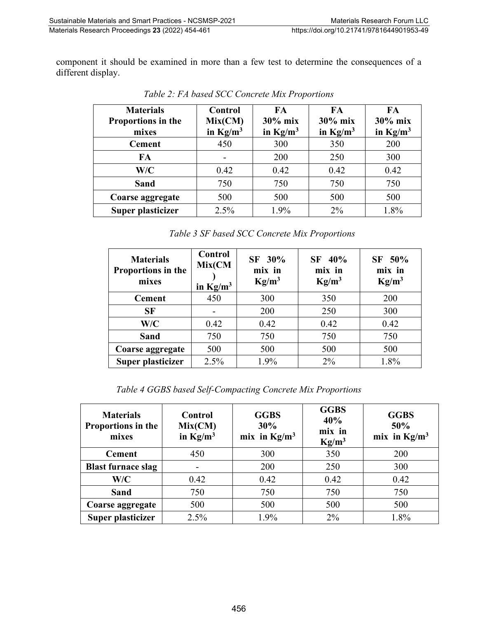component it should be examined in more than a few test to determine the consequences of a different display.

| <b>Materials</b><br>Proportions in the<br>mixes | Control<br>Mix(CM)<br>in $Kg/m^3$ | FA<br>$30\%$ mix<br>in $Kg/m^3$ | FA<br>30% mix<br>in $Kg/m^3$ | FA<br>$30\%$ mix<br>in $Kg/m^3$ |
|-------------------------------------------------|-----------------------------------|---------------------------------|------------------------------|---------------------------------|
| <b>Cement</b>                                   | 450                               | 300                             | 350                          | 200                             |
| FA                                              |                                   | 200                             | 250                          | 300                             |
| W/C                                             | 0.42                              | 0.42                            | 0.42                         | 0.42                            |
| <b>Sand</b>                                     | 750                               | 750                             | 750                          | 750                             |
| Coarse aggregate                                | 500                               | 500                             | 500                          | 500                             |
| Super plasticizer                               | 2.5%                              | 1.9%                            | $2\%$                        | 1.8%                            |

*Table 2: FA based SCC Concrete Mix Proportions* 

|  |  | Table 3 SF based SCC Concrete Mix Proportions |  |
|--|--|-----------------------------------------------|--|
|--|--|-----------------------------------------------|--|

| <b>Materials</b><br>Proportions in the<br>mixes | Control<br>Mix(CM<br>in $Kg/m^3$ | SF 30%<br>mix in<br>Kg/m <sup>3</sup> | 40%<br>SF  <br>mix in<br>$Kg/m^3$ | SF 50%<br>mix in<br>Kg/m <sup>3</sup> |  |
|-------------------------------------------------|----------------------------------|---------------------------------------|-----------------------------------|---------------------------------------|--|
| <b>Cement</b>                                   | 450                              | 300                                   | 350                               | 200                                   |  |
| <b>SF</b>                                       |                                  | 200                                   | 250                               | 300                                   |  |
| W/C                                             | 0.42                             | 0.42                                  | 0.42                              | 0.42                                  |  |
| <b>Sand</b>                                     | 750                              | 750                                   | 750                               | 750                                   |  |
| Coarse aggregate                                | 500                              | 500                                   | 500                               | 500                                   |  |
| Super plasticizer                               | 2.5%                             | 1.9%                                  | $2\%$                             | 1.8%                                  |  |

*Table 4 GGBS based Self-Compacting Concrete Mix Proportions*

| <b>Materials</b><br>Proportions in the<br>mixes | Control<br>Mix(CM)<br>in $Kg/m^3$ | <b>GGBS</b><br>30%<br>mix in $Kg/m^3$ | <b>GGBS</b><br>40%<br>mix in<br>$Kg/m^3$ | <b>GGBS</b><br>50%<br>mix in $Kg/m^3$ |
|-------------------------------------------------|-----------------------------------|---------------------------------------|------------------------------------------|---------------------------------------|
| <b>Cement</b>                                   | 450                               | 300                                   | 350                                      | 200                                   |
| <b>Blast furnace slag</b>                       |                                   | 200                                   | 250                                      | 300                                   |
| W/C                                             | 0.42                              | 0.42                                  | 0.42                                     | 0.42                                  |
| Sand                                            | 750                               | 750                                   | 750                                      | 750                                   |
| Coarse aggregate                                | 500                               | 500                                   | 500                                      | 500                                   |
| Super plasticizer                               | 2.5%                              | 1.9%                                  | $2\%$                                    | 1.8%                                  |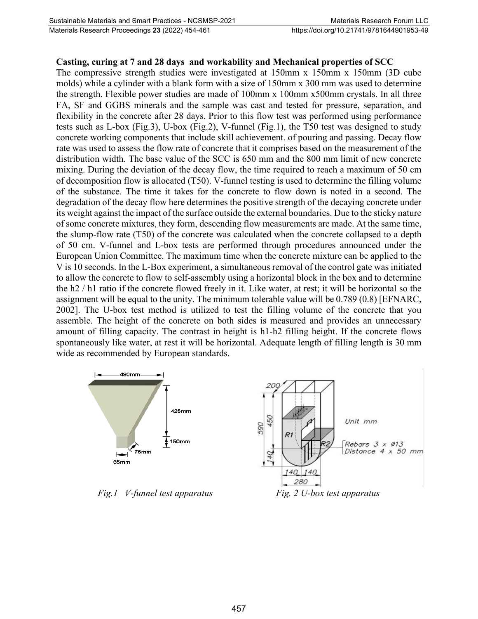#### **Casting, curing at 7 and 28 days and workability and Mechanical properties of SCC**

The compressive strength studies were investigated at 150mm x 150mm x 150mm (3D cube molds) while a cylinder with a blank form with a size of 150mm x 300 mm was used to determine the strength. Flexible power studies are made of 100mm x 100mm x500mm crystals. In all three FA, SF and GGBS minerals and the sample was cast and tested for pressure, separation, and flexibility in the concrete after 28 days. Prior to this flow test was performed using performance tests such as L-box (Fig.3), U-box (Fig.2), V-funnel (Fig.1), the T50 test was designed to study concrete working components that include skill achievement. of pouring and passing. Decay flow rate was used to assess the flow rate of concrete that it comprises based on the measurement of the distribution width. The base value of the SCC is 650 mm and the 800 mm limit of new concrete mixing. During the deviation of the decay flow, the time required to reach a maximum of 50 cm of decomposition flow is allocated (T50). V-funnel testing is used to determine the filling volume of the substance. The time it takes for the concrete to flow down is noted in a second. The degradation of the decay flow here determines the positive strength of the decaying concrete under its weight against the impact of the surface outside the external boundaries. Due to the sticky nature of some concrete mixtures, they form, descending flow measurements are made. At the same time, the slump-flow rate (T50) of the concrete was calculated when the concrete collapsed to a depth of 50 cm. V-funnel and L-box tests are performed through procedures announced under the European Union Committee. The maximum time when the concrete mixture can be applied to the V is 10 seconds. In the L-Box experiment, a simultaneous removal of the control gate was initiated to allow the concrete to flow to self-assembly using a horizontal block in the box and to determine the h2 / h1 ratio if the concrete flowed freely in it. Like water, at rest; it will be horizontal so the assignment will be equal to the unity. The minimum tolerable value will be 0.789 (0.8) [EFNARC, 2002]. The U-box test method is utilized to test the filling volume of the concrete that you assemble. The height of the concrete on both sides is measured and provides an unnecessary amount of filling capacity. The contrast in height is h1-h2 filling height. If the concrete flows spontaneously like water, at rest it will be horizontal. Adequate length of filling length is 30 mm wide as recommended by European standards.



*Fig.1 V-funnel test apparatus Fig. 2 U-box test apparatus*



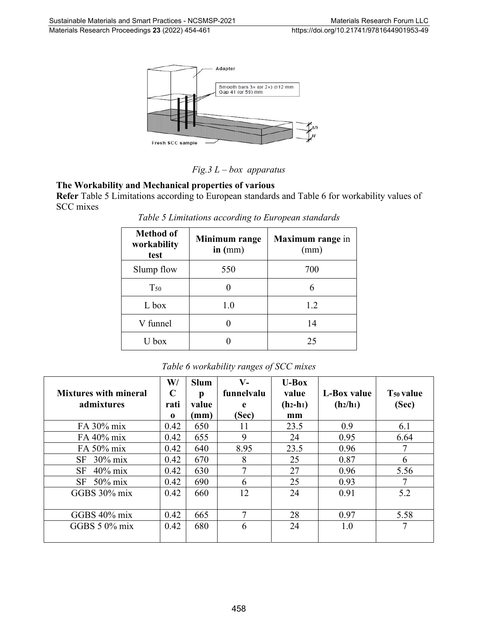

### *Fig.3 L – box apparatus*

#### **The Workability and Mechanical properties of various**

**Refer** Table 5 Limitations according to European standards and Table 6 for workability values of SCC mixes

| <b>Method of</b><br>workability<br>test | Minimum range<br>in (mm) | Maximum range in<br>(mm) |  |
|-----------------------------------------|--------------------------|--------------------------|--|
| Slump flow                              | 550                      | 700                      |  |
| $T_{50}$                                |                          | 6                        |  |
| L box                                   | 1.0                      | 1.2                      |  |
| V funnel                                |                          | 14                       |  |
| U box                                   |                          | 25                       |  |

*Table 5 Limitations according to European standards*

| <b>Mixtures with mineral</b><br>admixtures | $\mathbf{W}/$<br>$\mathbf C$<br>rati<br>$\bf{0}$ | <b>Slum</b><br>p<br>value<br>(mm) | $V -$<br>funnelvalu<br>e<br>(Sec) | $U$ -Box<br>value<br>$(h_2-h_1)$<br>mm | L-Box value<br>(h <sub>2</sub> /h <sub>1</sub> ) | T <sub>50</sub> value<br>(Sec) |
|--------------------------------------------|--------------------------------------------------|-----------------------------------|-----------------------------------|----------------------------------------|--------------------------------------------------|--------------------------------|
| FA 30% mix                                 | 0.42                                             | 650                               | 11                                | 23.5                                   | 0.9                                              | 6.1                            |
| FA 40% mix                                 | 0.42                                             | 655                               | 9                                 | 24                                     | 0.95                                             | 6.64                           |
| FA 50% mix                                 | 0.42                                             | 640                               | 8.95                              | 23.5                                   | 0.96                                             | 7                              |
| $30\%$ mix<br>SF                           | 0.42                                             | 670                               | 8                                 | 25                                     | 0.87                                             | 6                              |
| SF<br>$40\%$ mix                           | 0.42                                             | 630                               | 7                                 | 27                                     | 0.96                                             | 5.56                           |
| SF<br>$50\%$ mix                           | 0.42                                             | 690                               | 6                                 | 25                                     | 0.93                                             |                                |
| GGBS $30\%$ mix                            | 0.42                                             | 660                               | 12                                | 24                                     | 0.91                                             | 5.2                            |
| GGBS 40% mix                               | 0.42                                             | 665                               | 7                                 | 28                                     | 0.97                                             | 5.58                           |
| GGBS $5.0\%$ mix                           | 0.42                                             | 680                               | 6                                 | 24                                     | 1.0                                              | 7                              |

*Table 6 workability ranges of SCC mixes*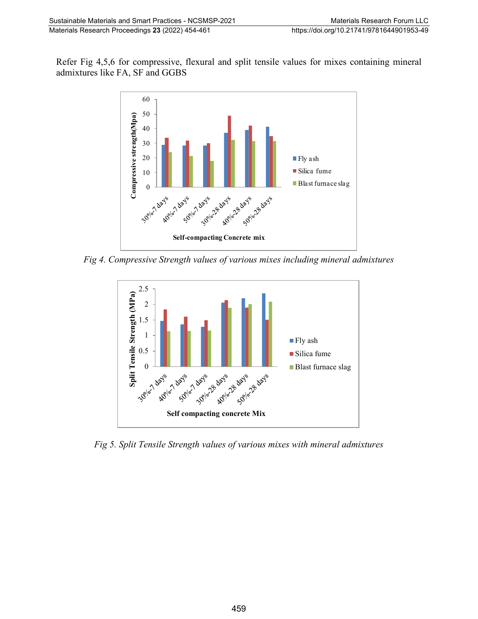Refer Fig 4,5,6 for compressive, flexural and split tensile values for mixes containing mineral admixtures like FA, SF and GGBS



*Fig 4. Compressive Strength values of various mixes including mineral admixtures*



*Fig 5. Split Tensile Strength values of various mixes with mineral admixtures*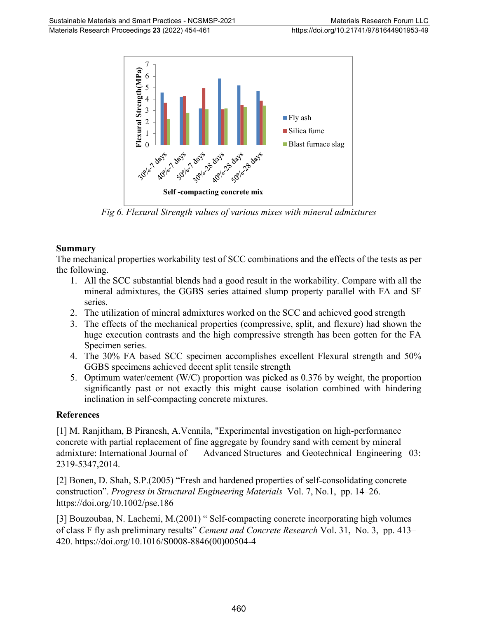

*Fig 6. Flexural Strength values of various mixes with mineral admixtures*

#### **Summary**

The mechanical properties workability test of SCC combinations and the effects of the tests as per the following.

- 1. All the SCC substantial blends had a good result in the workability. Compare with all the mineral admixtures, the GGBS series attained slump property parallel with FA and SF series.
- 2. The utilization of mineral admixtures worked on the SCC and achieved good strength
- 3. The effects of the mechanical properties (compressive, split, and flexure) had shown the huge execution contrasts and the high compressive strength has been gotten for the FA Specimen series.
- 4. The 30% FA based SCC specimen accomplishes excellent Flexural strength and 50% GGBS specimens achieved decent split tensile strength
- 5. Optimum water/cement (W/C) proportion was picked as 0.376 by weight, the proportion significantly past or not exactly this might cause isolation combined with hindering inclination in self-compacting concrete mixtures.

#### **References**

[1] M. Ranjitham, B Piranesh, A.Vennila, "Experimental investigation on high-performance concrete with partial replacement of fine aggregate by foundry sand with cement by mineral admixture: International Journal of Advanced Structures and Geotechnical Engineering 03: 2319-5347,2014.

[2] Bonen, D. Shah, S.P.(2005) "Fresh and hardened properties of self-consolidating concrete construction". *Progress in Structural Engineering Materials* Vol. 7, No.1, pp. 14–26. https://doi.org/10.1002/pse.186

[3] Bouzoubaa, N. Lachemi, M.(2001) " Self-compacting concrete incorporating high volumes of class F fly ash preliminary results" *Cement and Concrete Research* Vol. 31, No. 3, pp. 413– 420. https://doi.org/10.1016/S0008-8846(00)00504-4